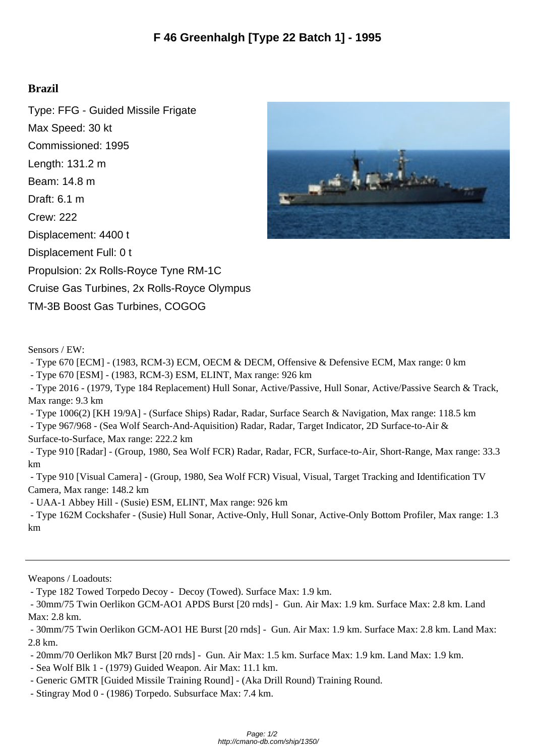## **Brazil**

Type: FFG - Guided Missile Frigate Max Speed: 30 kt Commissioned: 1995 Length: 131.2 m Beam: 14.8 m Draft: 6.1 m Crew: 222 Displacement: 4400 t Displacement Full: 0 t Propulsion: 2x Rolls-Royce Tyne RM-1C Cruise Gas Turbines, 2x Rolls-Royce Olympus TM-3B Boost Gas Turbines, COGOG



Sensors / EW:

- Type 670 [ECM] - (1983, RCM-3) ECM, OECM & DECM, Offensive & Defensive ECM, Max range: 0 km

- Type 670 [ESM] - (1983, RCM-3) ESM, ELINT, Max range: 926 km

 - Type 2016 - (1979, Type 184 Replacement) Hull Sonar, Active/Passive, Hull Sonar, Active/Passive Search & Track, Max range: 9.3 km

- Type 1006(2) [KH 19/9A] - (Surface Ships) Radar, Radar, Surface Search & Navigation, Max range: 118.5 km

 - Type 967/968 - (Sea Wolf Search-And-Aquisition) Radar, Radar, Target Indicator, 2D Surface-to-Air & Surface-to-Surface, Max range: 222.2 km

 - Type 910 [Radar] - (Group, 1980, Sea Wolf FCR) Radar, Radar, FCR, Surface-to-Air, Short-Range, Max range: 33.3 km

 - Type 910 [Visual Camera] - (Group, 1980, Sea Wolf FCR) Visual, Visual, Target Tracking and Identification TV Camera, Max range: 148.2 km

- UAA-1 Abbey Hill - (Susie) ESM, ELINT, Max range: 926 km

 - Type 162M Cockshafer - (Susie) Hull Sonar, Active-Only, Hull Sonar, Active-Only Bottom Profiler, Max range: 1.3 km

Weapons / Loadouts:

- Type 182 Towed Torpedo Decoy - Decoy (Towed). Surface Max: 1.9 km.

 - 30mm/75 Twin Oerlikon GCM-AO1 APDS Burst [20 rnds] - Gun. Air Max: 1.9 km. Surface Max: 2.8 km. Land Max: 2.8 km.

 - 30mm/75 Twin Oerlikon GCM-AO1 HE Burst [20 rnds] - Gun. Air Max: 1.9 km. Surface Max: 2.8 km. Land Max: 2.8 km.

- 20mm/70 Oerlikon Mk7 Burst [20 rnds] - Gun. Air Max: 1.5 km. Surface Max: 1.9 km. Land Max: 1.9 km.

- Sea Wolf Blk 1 - (1979) Guided Weapon. Air Max: 11.1 km.

- Generic GMTR [Guided Missile Training Round] - (Aka Drill Round) Training Round.

- Stingray Mod 0 - (1986) Torpedo. Subsurface Max: 7.4 km.